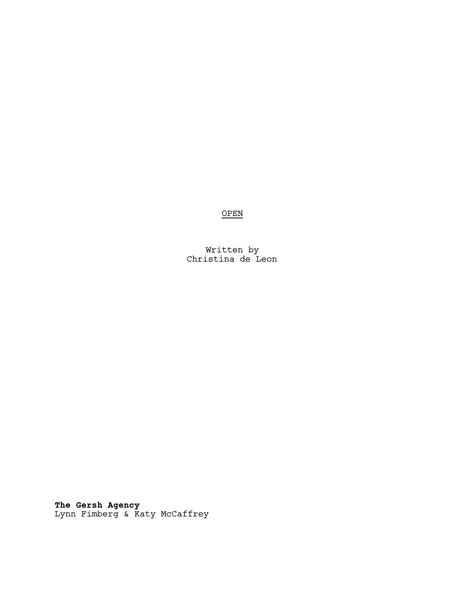OPEN

Written by Christina de Leon

**The Gersh Agency** Lynn Fimberg & Katy McCaffrey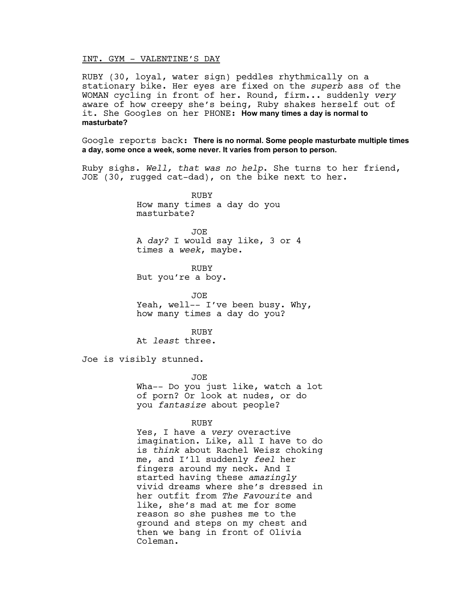# INT. GYM - VALENTINE'S DAY

RUBY (30, loyal, water sign) peddles rhythmically on a stationary bike. Her eyes are fixed on the *superb* ass of the WOMAN cycling in front of her. Round, firm... suddenly *very* aware of how creepy she's being, Ruby shakes herself out of it. She Googles on her PHONE: **How many times a day is normal to masturbate?**

Google reports back: **There is no normal. Some people masturbate multiple times a day, some once a week, some never. It varies from person to person.**

Ruby sighs. *Well, that was no help*. She turns to her friend, JOE (30, rugged cat-dad), on the bike next to her.

> RUBY How many times a day do you masturbate?

JOE A *day?* I would say like, 3 or 4 times a *week*, maybe.

RUBY But you're a boy.

JOE Yeah, well-- I've been busy. Why, how many times a day do you?

RUBY At *least* three.

Joe is visibly stunned.

JOE

Wha-- Do you just like, watch a lot of porn? Or look at nudes, or do you *fantasize* about people?

## RUBY

Yes, I have a *very* overactive imagination. Like, all I have to do is *think* about Rachel Weisz choking me, and I'll suddenly *feel* her fingers around my neck. And I started having these *amazingly* vivid dreams where she's dressed in her outfit from *The Favourite* and like, she's mad at me for some reason so she pushes me to the ground and steps on my chest and then we bang in front of Olivia Coleman.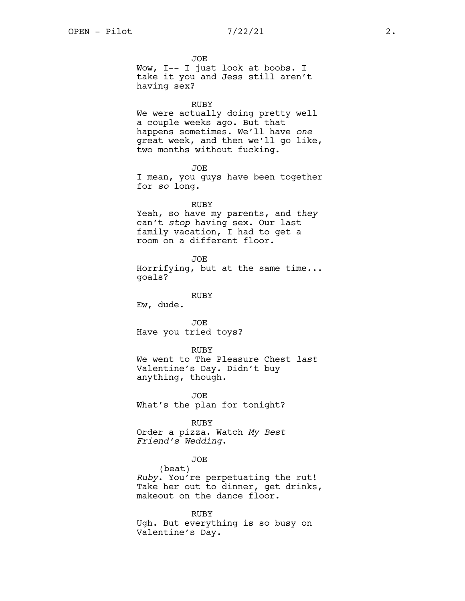JOE Wow, I-- I just look at boobs. I take it you and Jess still aren't having sex? RUBY We were actually doing pretty well a couple weeks ago. But that happens sometimes. We'll have *one* great week, and then we'll go like, two months without fucking. JOE I mean, you guys have been together for *so* long. RUBY Yeah, so have my parents, and *they* can't *stop* having sex. Our last family vacation, I had to get a room on a different floor. JOE Horrifying, but at the same time... goals? RUBY Ew, dude. JOE Have you tried toys? RUBY We went to The Pleasure Chest *last* Valentine's Day. Didn't buy anything, though. JOE What's the plan for tonight? RUBY Order a pizza. Watch *My Best Friend's Wedding*. JOE (beat) *Ruby*. You're perpetuating the rut! Take her out to dinner, get drinks, makeout on the dance floor.

RUBY Ugh. But everything is so busy on Valentine's Day.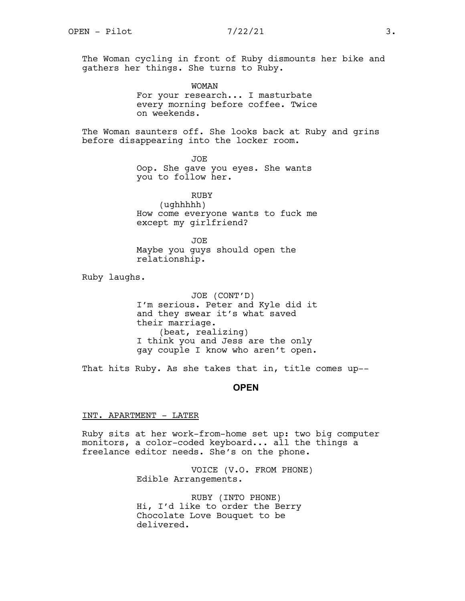The Woman cycling in front of Ruby dismounts her bike and gathers her things. She turns to Ruby.

> WOMAN For your research... I masturbate every morning before coffee. Twice on weekends.

The Woman saunters off. She looks back at Ruby and grins before disappearing into the locker room.

> JOE Oop. She gave you eyes. She wants you to follow her.

RUBY (ughhhhh) How come everyone wants to fuck me except my girlfriend?

JOE Maybe you guys should open the relationship.

Ruby laughs.

JOE (CONT'D) I'm serious. Peter and Kyle did it and they swear it's what saved their marriage. (beat, realizing) I think you and Jess are the only gay couple I know who aren't open.

That hits Ruby. As she takes that in, title comes up--

# **OPEN**

## INT. APARTMENT - LATER

Ruby sits at her work-from-home set up: two big computer monitors, a color-coded keyboard... all the things a freelance editor needs. She's on the phone.

> VOICE (V.O. FROM PHONE) Edible Arrangements.

RUBY (INTO PHONE) Hi, I'd like to order the Berry Chocolate Love Bouquet to be delivered.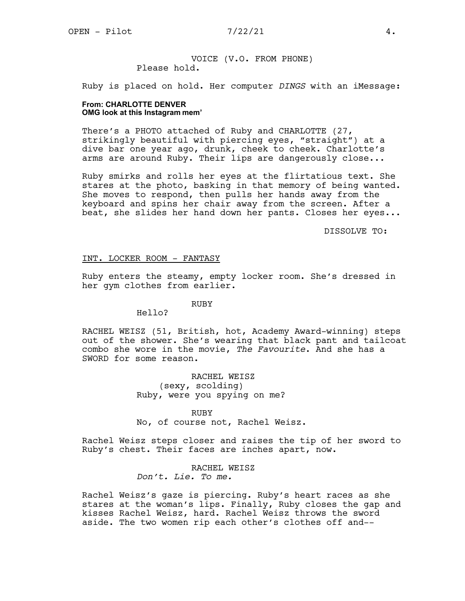VOICE (V.O. FROM PHONE) Please hold.

Ruby is placed on hold. Her computer *DINGS* with an iMessage:

# **From: CHARLOTTE DENVER OMG look at this Instagram mem'**

There's a PHOTO attached of Ruby and CHARLOTTE (27,<br>strikingly beautiful with piercing eyes, "straight") at a dive bar one year ago, drunk, cheek to cheek. Charlotte's arms are around Ruby. Their lips are dangerously close...

Ruby smirks and rolls her eyes at the flirtatious text. She stares at the photo, basking in that memory of being wanted. She moves to respond, then pulls her hands away from the keyboard and spins her chair away from the screen. After a beat, she slides her hand down her pants. Closes her eyes...

DISSOLVE TO:

# INT. LOCKER ROOM - FANTASY

Ruby enters the steamy, empty locker room. She's dressed in her gym clothes from earlier.

# RUBY

Hello?

RACHEL WEISZ (51, British, hot, Academy Award-winning) steps out of the shower. She's wearing that black pant and tailcoat combo she wore in the movie, *The Favourite*. And she has a SWORD for some reason.

> RACHEL WEISZ (sexy, scolding) Ruby, were you spying on me?

RUBY No, of course not, Rachel Weisz.

Rachel Weisz steps closer and raises the tip of her sword to Ruby's chest. Their faces are inches apart, now.

> RACHEL WEISZ *Don't. Lie. To me.*

Rachel Weisz's gaze is piercing. Ruby's heart races as she stares at the woman's lips. Finally, Ruby closes the gap and kisses Rachel Weisz, hard. Rachel Weisz throws the sword aside. The two women rip each other's clothes off and--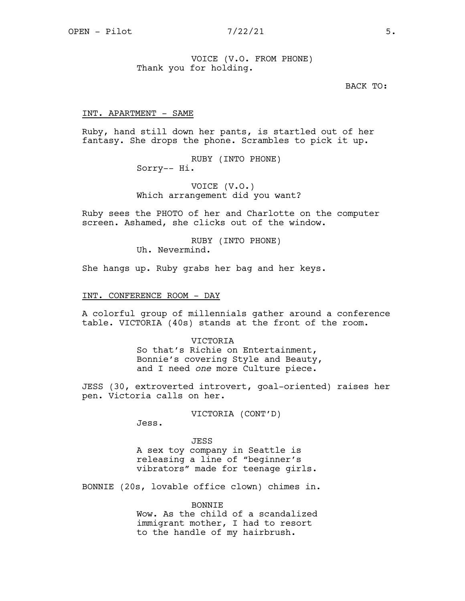VOICE (V.O. FROM PHONE) Thank you for holding.

BACK TO:

## INT. APARTMENT - SAME

Ruby, hand still down her pants, is startled out of her fantasy. She drops the phone. Scrambles to pick it up.

> RUBY (INTO PHONE) Sorry-- Hi.

VOICE (V.O.) Which arrangement did you want?

Ruby sees the PHOTO of her and Charlotte on the computer screen. Ashamed, she clicks out of the window.

> RUBY (INTO PHONE) Uh. Nevermind.

She hangs up. Ruby grabs her bag and her keys.

## INT. CONFERENCE ROOM - DAY

A colorful group of millennials gather around a conference table. VICTORIA (40s) stands at the front of the room.

> VICTORIA So that's Richie on Entertainment, Bonnie's covering Style and Beauty, and I need *one* more Culture piece.

JESS (30, extroverted introvert, goal-oriented) raises her pen. Victoria calls on her.

VICTORIA (CONT'D)

Jess.

**JESS** A sex toy company in Seattle is releasing a line of "beginner's vibrators" made for teenage girls.

BONNIE (20s, lovable office clown) chimes in.

BONNIE Wow. As the child of a scandalized immigrant mother, I had to resort to the handle of my hairbrush.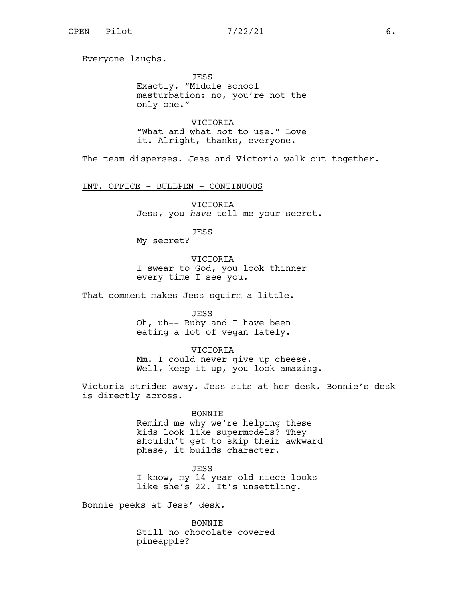Everyone laughs.

JESS Exactly. "Middle school masturbation: no, you're not the only one."

VICTORIA "What and what *not* to use." Love it. Alright, thanks, everyone.

The team disperses. Jess and Victoria walk out together.

INT. OFFICE - BULLPEN - CONTINUOUS

VICTORIA Jess, you *have* tell me your secret.

JESS My secret?

VICTORIA I swear to God, you look thinner every time I see you.

That comment makes Jess squirm a little.

JESS Oh, uh-- Ruby and I have been eating a lot of vegan lately.

VICTORIA Mm. I could never give up cheese. Well, keep it up, you look amazing.

Victoria strides away. Jess sits at her desk. Bonnie's desk is directly across.

> BONNIE Remind me why we're helping these kids look like supermodels? They shouldn't get to skip their awkward

JESS I know, my 14 year old niece looks like she's 22. It's unsettling.

Bonnie peeks at Jess' desk.

BONNIE Still no chocolate covered pineapple?

phase, it builds character.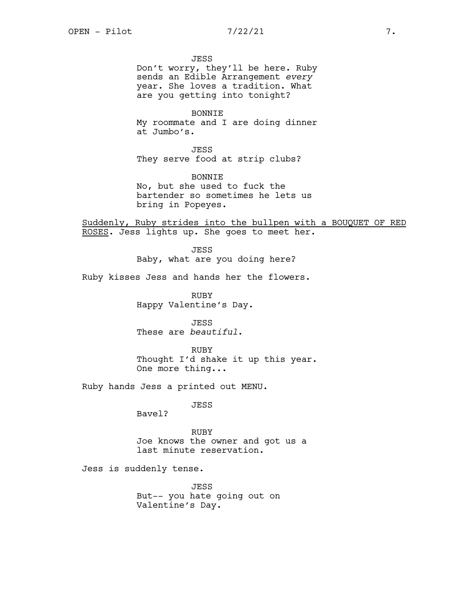JESS Don't worry, they'll be here. Ruby sends an Edible Arrangement *every* year. She loves a tradition. What are you getting into tonight?

BONNIE

My roommate and I are doing dinner at Jumbo's.

JESS They serve food at strip clubs?

BONNIE No, but she used to fuck the bartender so sometimes he lets us bring in Popeyes.

Suddenly, Ruby strides into the bullpen with a BOUQUET OF RED ROSES. Jess lights up. She goes to meet her.

> JESS Baby, what are you doing here?

Ruby kisses Jess and hands her the flowers.

RUBY Happy Valentine's Day.

JESS These are *beautiful*.

RUBY Thought I'd shake it up this year. One more thing...

Ruby hands Jess a printed out MENU.

JESS

Bavel?

RUBY Joe knows the owner and got us a last minute reservation.

Jess is suddenly tense.

JESS But-- you hate going out on Valentine's Day.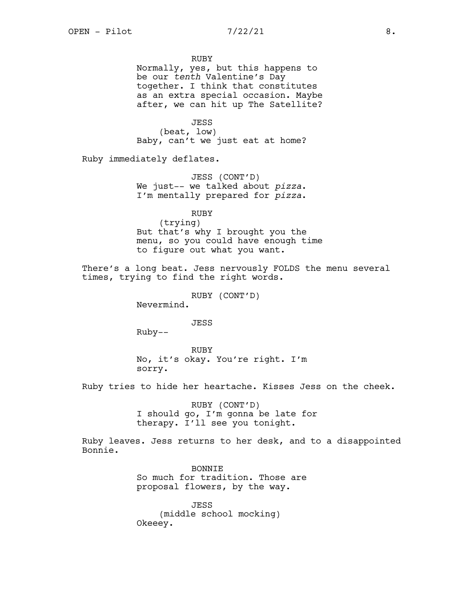RUBY Normally, yes, but this happens to be our *tenth* Valentine's Day together. I think that constitutes as an extra special occasion. Maybe after, we can hit up The Satellite?

JESS (beat, low) Baby, can't we just eat at home?

Ruby immediately deflates.

JESS (CONT'D) We just-- we talked about *pizza*. I'm mentally prepared for *pizza*.

RUBY

(trying) But that's why I brought you the menu, so you could have enough time to figure out what you want.

There's a long beat. Jess nervously FOLDS the menu several times, trying to find the right words.

RUBY (CONT'D)

Nevermind.

JESS

Ruby--

RUBY No, it's okay. You're right. I'm sorry.

Ruby tries to hide her heartache. Kisses Jess on the cheek.

RUBY (CONT'D) I should go, I'm gonna be late for therapy. I'll see you tonight.

Ruby leaves. Jess returns to her desk, and to a disappointed Bonnie.

> BONNIE So much for tradition. Those are proposal flowers, by the way.

JESS (middle school mocking) Okeeey.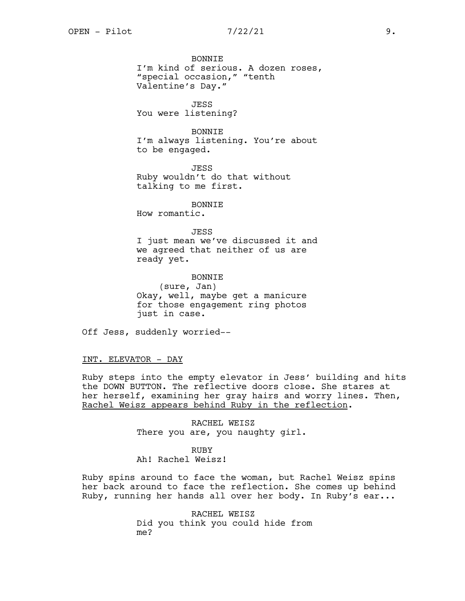BONNIE I'm kind of serious. A dozen roses, "special occasion," "tenth Valentine's Day."

JESS You were listening?

BONNIE I'm always listening. You're about to be engaged.

JESS Ruby wouldn't do that without talking to me first.

BONNIE How romantic.

**JESS** I just mean we've discussed it and we agreed that neither of us are ready yet.

**BONNTE** (sure, Jan) Okay, well, maybe get a manicure for those engagement ring photos just in case.

Off Jess, suddenly worried--

INT. ELEVATOR - DAY

Ruby steps into the empty elevator in Jess' building and hits the DOWN BUTTON. The reflective doors close. She stares at her herself, examining her gray hairs and worry lines. Then, Rachel Weisz appears behind Ruby in the reflection.

> RACHEL WEISZ There you are, you naughty girl.

RUBY Ah! Rachel Weisz!

Ruby spins around to face the woman, but Rachel Weisz spins her back around to face the reflection. She comes up behind Ruby, running her hands all over her body. In Ruby's ear...

> RACHEL WEISZ Did you think you could hide from me?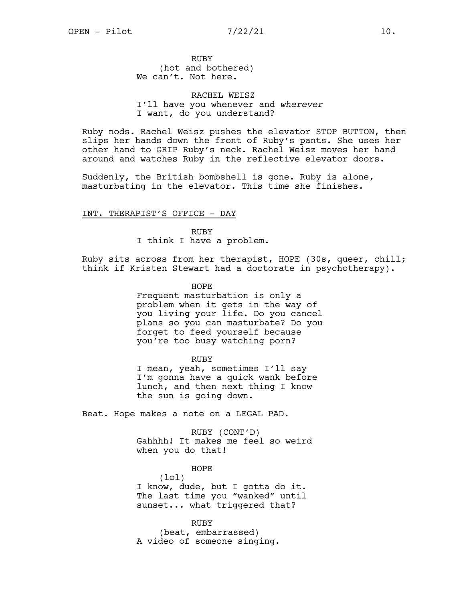RUBY (hot and bothered) We can't. Not here.

RACHEL WEISZ I'll have you whenever and *wherever* I want, do you understand?

Ruby nods. Rachel Weisz pushes the elevator STOP BUTTON, then slips her hands down the front of Ruby's pants. She uses her other hand to GRIP Ruby's neck. Rachel Weisz moves her hand around and watches Ruby in the reflective elevator doors.

Suddenly, the British bombshell is gone. Ruby is alone, masturbating in the elevator. This time she finishes.

## INT. THERAPIST'S OFFICE - DAY

RUBY

I think I have a problem.

Ruby sits across from her therapist, HOPE (30s, queer, chill; think if Kristen Stewart had a doctorate in psychotherapy).

HOPE

Frequent masturbation is only a problem when it gets in the way of you living your life. Do you cancel plans so you can masturbate? Do you forget to feed yourself because you're too busy watching porn?

RUBY

I mean, yeah, sometimes I'll say I'm gonna have a quick wank before lunch, and then next thing I know the sun is going down.

Beat. Hope makes a note on a LEGAL PAD.

RUBY (CONT'D) Gahhhh! It makes me feel so weird when you do that!

HOPE (lol) I know, dude, but I gotta do it. The last time you "wanked" until sunset... what triggered that?

RUBY (beat, embarrassed) A video of someone singing.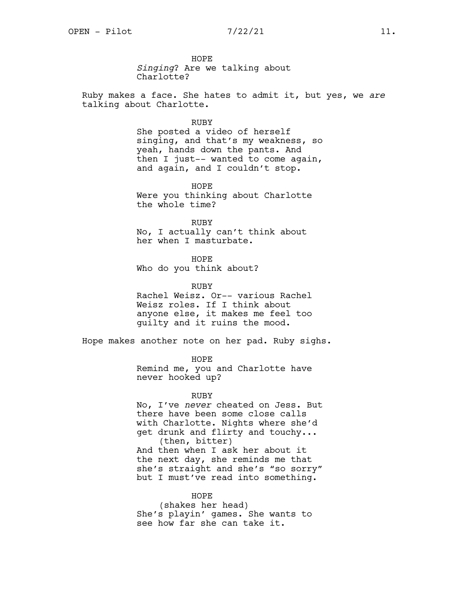HOPE *Singing*? Are we talking about Charlotte?

Ruby makes a face. She hates to admit it, but yes, we *are* talking about Charlotte.

## RUBY

She posted a video of herself singing, and that's my weakness, so yeah, hands down the pants. And then I just-- wanted to come again, and again, and I couldn't stop.

HOPE Were you thinking about Charlotte the whole time?

RUBY No, I actually can't think about her when I masturbate.

HOPE Who do you think about?

RUBY

Rachel Weisz. Or-- various Rachel Weisz roles. If I think about anyone else, it makes me feel too guilty and it ruins the mood.

Hope makes another note on her pad. Ruby sighs.

HOPE Remind me, you and Charlotte have never hooked up?

RUBY

No, I've *never* cheated on Jess. But there have been some close calls with Charlotte. Nights where she'd get drunk and flirty and touchy... (then, bitter) And then when I ask her about it the next day, she reminds me that she's straight and she's "so sorry" but I must've read into something.

HOPE (shakes her head) She's playin' games. She wants to see how far she can take it.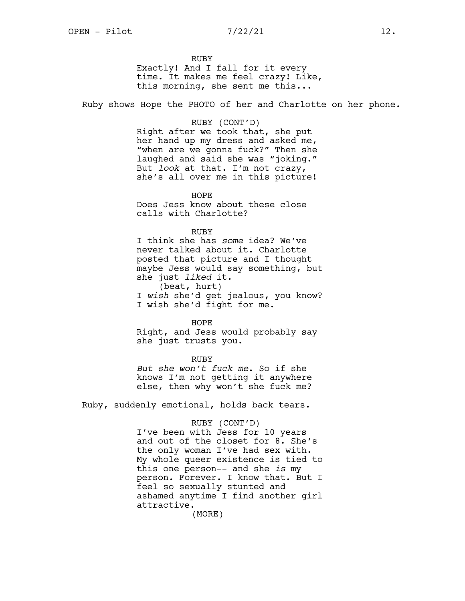RUBY Exactly! And I fall for it every time. It makes me feel crazy! Like, this morning, she sent me this...

Ruby shows Hope the PHOTO of her and Charlotte on her phone.

## RUBY (CONT'D)

Right after we took that, she put her hand up my dress and asked me, "when are we gonna fuck?" Then she laughed and said she was "joking." But *look* at that. I'm not crazy, she's all over me in this picture!

HOPE Does Jess know about these close calls with Charlotte?

## RUBY

I think she has *some* idea? We've never talked about it. Charlotte posted that picture and I thought maybe Jess would say something, but she just *liked* it. (beat, hurt)

I *wish* she'd get jealous, you know? I wish she'd fight for me.

HOPE

Right, and Jess would probably say she just trusts you.

RUBY

*But she won't fuck me*. So if she knows I'm not getting it anywhere else, then why won't she fuck me?

Ruby, suddenly emotional, holds back tears.

## RUBY (CONT'D)

I've been with Jess for 10 years and out of the closet for 8. She's the only woman I've had sex with. My whole queer existence is tied to this one person-- and she *is* my person. Forever. I know that. But I feel so sexually stunted and ashamed anytime I find another girl attractive.

(MORE)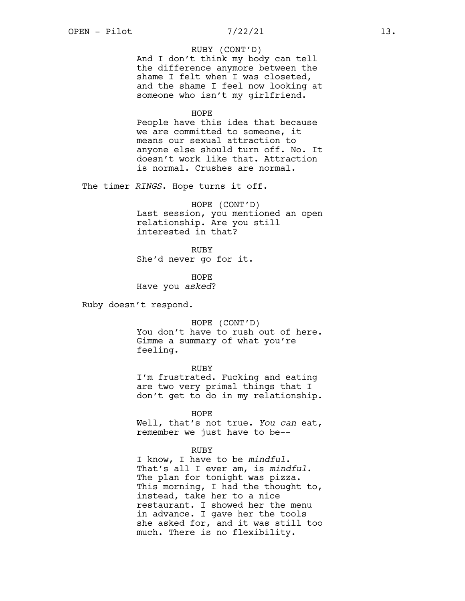## $OPEN - Pilot$   $7/22/21$   $13.$

# RUBY (CONT'D)

And I don't think my body can tell the difference anymore between the shame I felt when I was closeted, and the shame I feel now looking at someone who isn't my girlfriend.

## HOPE

People have this idea that because we are committed to someone, it means our sexual attraction to anyone else should turn off. No. It doesn't work like that. Attraction is normal. Crushes are normal.

The timer *RINGS*. Hope turns it off.

HOPE (CONT'D) Last session, you mentioned an open relationship. Are you still interested in that?

RUBY She'd never go for it.

**HOPE** Have you *asked*?

Ruby doesn't respond.

## HOPE (CONT'D)

You don't have to rush out of here. Gimme a summary of what you're feeling.

RUBY I'm frustrated. Fucking and eating are two very primal things that I don't get to do in my relationship.

HOPE

Well, that's not true. *You can* eat, remember we just have to be--

## RUBY

I know, I have to be *mindful*. That's all I ever am, is *mindful*. The plan for tonight was pizza. This morning, I had the thought to, instead, take her to a nice restaurant. I showed her the menu in advance. I gave her the tools she asked for, and it was still too much. There is no flexibility.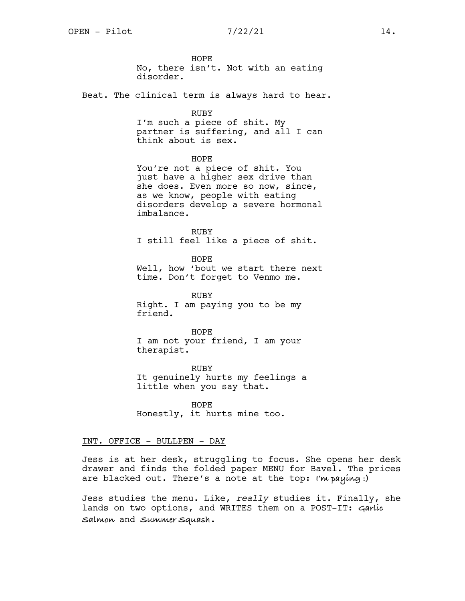HOPE No, there isn't. Not with an eating disorder.

Beat. The clinical term is always hard to hear.

RUBY

I'm such a piece of shit. My partner is suffering, and all I can think about is sex.

HOPE

You're not a piece of shit. You just have a higher sex drive than she does. Even more so now, since, as we know, people with eating disorders develop a severe hormonal imbalance.

RUBY I still feel like a piece of shit.

HOPE Well, how 'bout we start there next time. Don't forget to Venmo me.

RUBY Right. I am paying you to be my friend.

HOPE I am not your friend, I am your therapist.

RUBY It genuinely hurts my feelings a little when you say that.

HOPE Honestly, it hurts mine too.

## INT. OFFICE - BULLPEN - DAY

Jess is at her desk, struggling to focus. She opens her desk drawer and finds the folded paper MENU for Bavel. The prices are blacked out. There's a note at the top: **I'm paying :)**

Jess studies the menu. Like, *really* studies it. Finally, she lands on two options, and WRITES them on a POST-IT: **Garlic Salmon** and **Summer Squash**.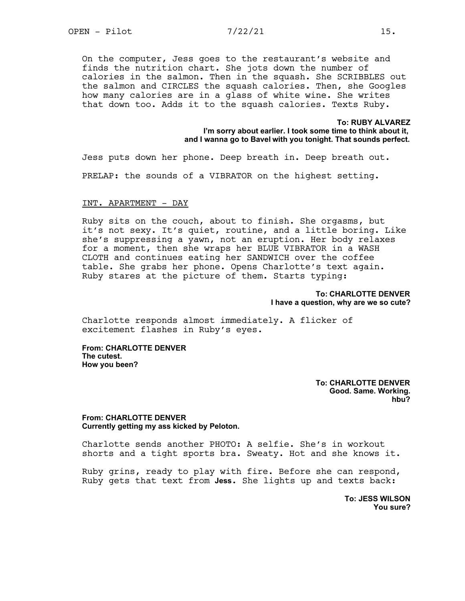On the computer, Jess goes to the restaurant's website and finds the nutrition chart. She jots down the number of calories in the salmon. Then in the squash. She SCRIBBLES out the salmon and CIRCLES the squash calories. Then, she Googles how many calories are in a glass of white wine. She writes that down too. Adds it to the squash calories. Texts Ruby.

> **To: RUBY ALVAREZ I'm sorry about earlier. I took some time to think about it, and I wanna go to Bavel with you tonight. That sounds perfect.**

Jess puts down her phone. Deep breath in. Deep breath out. PRELAP: the sounds of a VIBRATOR on the highest setting.

## INT. APARTMENT - DAY

Ruby sits on the couch, about to finish. She orgasms, but it's not sexy. It's quiet, routine, and a little boring. Like she's suppressing a yawn, not an eruption. Her body relaxes for a moment, then she wraps her BLUE VIBRATOR in a WASH CLOTH and continues eating her SANDWICH over the coffee table. She grabs her phone. Opens Charlotte's text again. Ruby stares at the picture of them. Starts typing:

# **To: CHARLOTTE DENVER I have a question, why are we so cute?**

Charlotte responds almost immediately. A flicker of excitement flashes in Ruby's eyes.

**From: CHARLOTTE DENVER The cutest. How you been?**

> **To: CHARLOTTE DENVER Good. Same. Working. hbu?**

**From: CHARLOTTE DENVER Currently getting my ass kicked by Peloton.**

Charlotte sends another PHOTO: A selfie. She's in workout shorts and a tight sports bra. Sweaty. Hot and she knows it.

Ruby grins, ready to play with fire. Before she can respond, Ruby gets that text from **Jess**. She lights up and texts back:

> **To: JESS WILSON You sure?**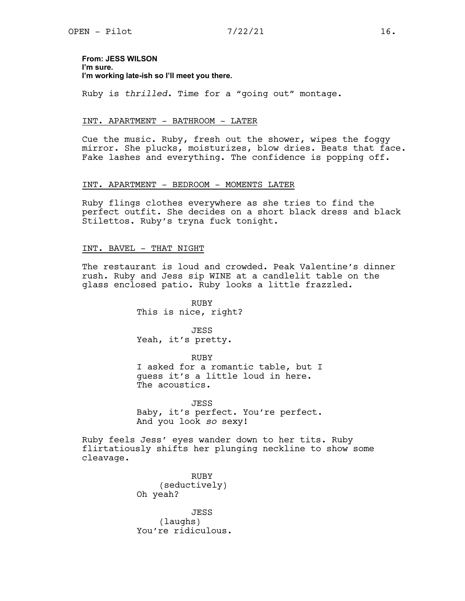**From: JESS WILSON I'm sure. I'm working late-ish so I'll meet you there.**

Ruby is *thrilled.* Time for a "going out" montage.

# INT. APARTMENT - BATHROOM - LATER

Cue the music. Ruby, fresh out the shower, wipes the foggy mirror. She plucks, moisturizes, blow dries. Beats that face. Fake lashes and everything. The confidence is popping off.

## INT. APARTMENT - BEDROOM - MOMENTS LATER

Ruby flings clothes everywhere as she tries to find the perfect outfit. She decides on a short black dress and black Stilettos. Ruby's tryna fuck tonight.

## INT. BAVEL - THAT NIGHT

The restaurant is loud and crowded. Peak Valentine's dinner rush. Ruby and Jess sip WINE at a candlelit table on the glass enclosed patio. Ruby looks a little frazzled.

> RUBY This is nice, right?

JESS Yeah, it's pretty.

RUBY I asked for a romantic table, but I guess it's a little loud in here.<br>The acoustics.

JESS Baby, it's perfect. You're perfect. And you look *so* sexy!

Ruby feels Jess' eyes wander down to her tits. Ruby flirtatiously shifts her plunging neckline to show some cleavage.

> RUBY (seductively) Oh yeah?

JESS (laughs) You're ridiculous.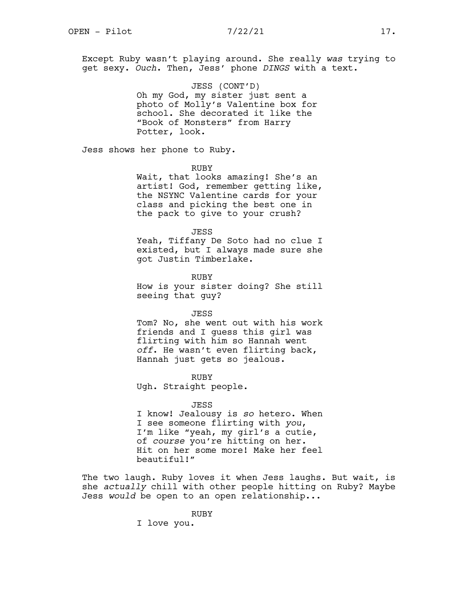Except Ruby wasn't playing around. She really *was* trying to get sexy. *Ouch*. Then, Jess' phone *DINGS* with a text.

> JESS (CONT'D) Oh my God, my sister just sent a photo of Molly's Valentine box for school. She decorated it like the "Book of Monsters" from Harry Potter, look.

Jess shows her phone to Ruby.

RUBY

Wait, that looks amazing! She's an artist! God, remember getting like, the NSYNC Valentine cards for your class and picking the best one in the pack to give to your crush?

JESS

Yeah, Tiffany De Soto had no clue I existed, but I always made sure she got Justin Timberlake.

RUBY How is your sister doing? She still seeing that guy?

JESS

Tom? No, she went out with his work friends and I guess this girl was flirting with him so Hannah went *off*. He wasn't even flirting back, Hannah just gets so jealous.

RUBY Ugh. Straight people.

JESS

I know! Jealousy is *so* hetero. When I see someone flirting with *you*, I'm like "yeah, my girl's a cutie, of *course* you're hitting on her. Hit on her some more! Make her feel beautiful!"

The two laugh. Ruby loves it when Jess laughs. But wait, is she *actually* chill with other people hitting on Ruby? Maybe Jess *would* be open to an open relationship...

RUBY

I love you.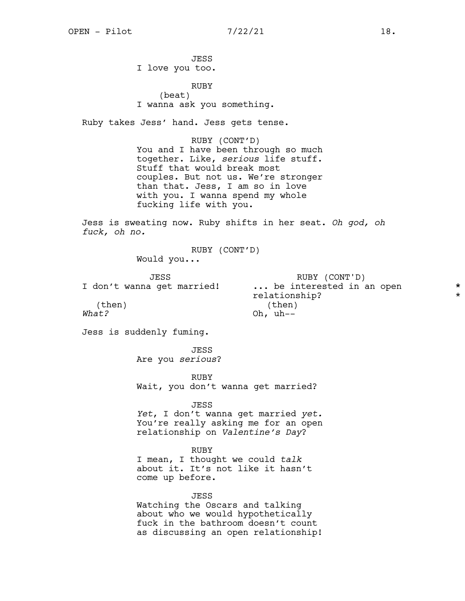JESS I love you too.

RUBY (beat) I wanna ask you something.

Ruby takes Jess' hand. Jess gets tense.

RUBY (CONT'D) You and I have been through so much together. Like, *serious* life stuff. Stuff that would break most couples. But not us. We're stronger than that. Jess, I am so in love with you. I wanna spend my whole fucking life with you.

Jess is sweating now. Ruby shifts in her seat. *Oh god, oh fuck, oh no.*

RUBY (CONT'D)

Would you...

JESS I don't wanna get married! ... be interested in an open  $\begin{array}{ccc}\n\star & \star & \star \\
\star & \star & \star & \star\n\end{array}$ (then) *What?* RUBY (CONT'D) (then) Oh,  $uh--$ 

Jess is suddenly fuming.

JESS Are you *serious*?

RUBY Wait, you don't wanna get married?

JESS

*Yet*, I don't wanna get married *yet.* You're really asking me for an open relationship on *Valentine's Day*?

## RUBY

I mean, I thought we could *talk* about it. It's not like it hasn't come up before.

JESS

Watching the Oscars and talking about who we would hypothetically fuck in the bathroom doesn't count as discussing an open relationship! \*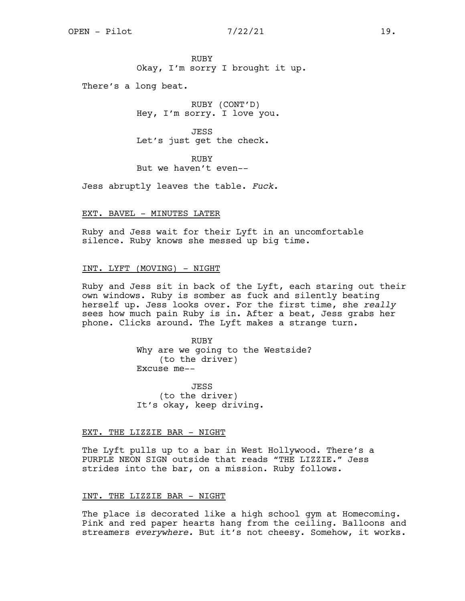RUBY Okay, I'm sorry I brought it up.

There's a long beat.

RUBY (CONT'D) Hey, I'm sorry. I love you.

JESS Let's just get the check.

RUBY But we haven't even--

Jess abruptly leaves the table. *Fuck*.

# EXT. BAVEL - MINUTES LATER

Ruby and Jess wait for their Lyft in an uncomfortable silence. Ruby knows she messed up big time.

# INT. LYFT (MOVING) - NIGHT

Ruby and Jess sit in back of the Lyft, each staring out their own windows. Ruby is somber as fuck and silently beating herself up. Jess looks over. For the first time, she *really* sees how much pain Ruby is in. After a beat, Jess grabs her phone. Clicks around. The Lyft makes a strange turn.

> RUBY Why are we going to the Westside? (to the driver) Excuse me--

JESS (to the driver) It's okay, keep driving.

# EXT. THE LIZZIE BAR - NIGHT

The Lyft pulls up to a bar in West Hollywood. There's a PURPLE NEON SIGN outside that reads "THE LIZZIE." Jess strides into the bar, on a mission. Ruby follows.

# INT. THE LIZZIE BAR - NIGHT

The place is decorated like a high school gym at Homecoming. Pink and red paper hearts hang from the ceiling. Balloons and streamers *everywhere.* But it's not cheesy. Somehow, it works.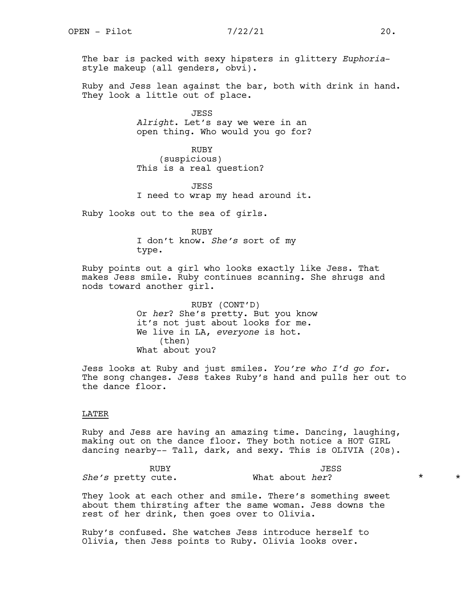The bar is packed with sexy hipsters in glittery *Euphoria*style makeup (all genders, obvi).

Ruby and Jess lean against the bar, both with drink in hand. They look a little out of place.

> JESS *Alright*. Let's say we were in an open thing. Who would you go for?

RUBY (suspicious) This is a real question?

JESS I need to wrap my head around it.

Ruby looks out to the sea of girls.

RUBY I don't know. *She's* sort of my type.

Ruby points out a girl who looks exactly like Jess. That makes Jess smile. Ruby continues scanning. She shrugs and nods toward another girl.

> RUBY (CONT'D) Or *her*? She's pretty. But you know it's not just about looks for me. We live in LA, *everyone* is hot. (then) What about you?

Jess looks at Ruby and just smiles. *You're who I'd go for.* The song changes. Jess takes Ruby's hand and pulls her out to the dance floor.

# LATER

Ruby and Jess are having an amazing time. Dancing, laughing, making out on the dance floor. They both notice a HOT GIRL dancing nearby-- Tall, dark, and sexy. This is OLIVIA (20s).

RUBY *She's* pretty cute. JESS What about *her*? \* \* \*

They look at each other and smile. There's something sweet about them thirsting after the same woman. Jess downs the rest of her drink, then goes over to Olivia.

Ruby's confused. She watches Jess introduce herself to Olivia, then Jess points to Ruby. Olivia looks over.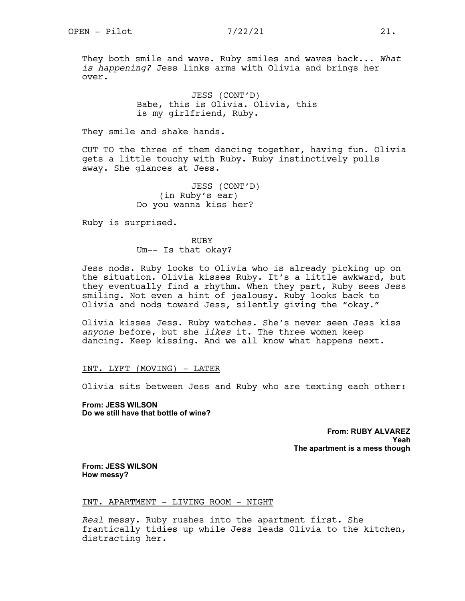They both smile and wave. Ruby smiles and waves back... *What is happening?* Jess links arms with Olivia and brings her over.

> JESS (CONT'D) Babe, this is Olivia. Olivia, this is my girlfriend, Ruby.

They smile and shake hands.

CUT TO the three of them dancing together, having fun. Olivia gets a little touchy with Ruby. Ruby instinctively pulls away. She glances at Jess.

> JESS (CONT'D) (in Ruby's ear) Do you wanna kiss her?

Ruby is surprised.

RUBY Um-- Is that okay?

Jess nods. Ruby looks to Olivia who is already picking up on the situation. Olivia kisses Ruby. It's a little awkward, but they eventually find a rhythm. When they part, Ruby sees Jess smiling. Not even a hint of jealousy. Ruby looks back to Olivia and nods toward Jess, silently giving the "okay."

Olivia kisses Jess. Ruby watches. She's never seen Jess kiss *anyone* before, but she *likes* it. The three women keep dancing. Keep kissing. And we all know what happens next.

# INT. LYFT (MOVING) - LATER

Olivia sits between Jess and Ruby who are texting each other:

**From: JESS WILSON Do we still have that bottle of wine?**

> **From: RUBY ALVAREZ Yeah The apartment is a mess though**

**From: JESS WILSON How messy?**

INT. APARTMENT - LIVING ROOM - NIGHT

*Real* messy. Ruby rushes into the apartment first. She frantically tidies up while Jess leads Olivia to the kitchen, distracting her.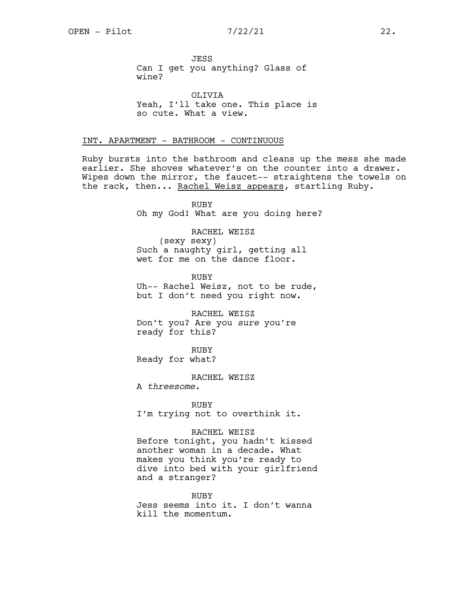**JESS** Can I get you anything? Glass of wine?

OLIVIA Yeah, I'll take one. This place is so cute. What a view.

# INT. APARTMENT - BATHROOM - CONTINUOUS

Ruby bursts into the bathroom and cleans up the mess she made earlier. She shoves whatever's on the counter into a drawer. Wipes down the mirror, the faucet-- straightens the towels on the rack, then... Rachel Weisz appears, startling Ruby.

> RUBY Oh my God! What are you doing here?

RACHEL WEISZ (sexy sexy) Such a naughty girl, getting all wet for me on the dance floor.

RUBY Uh-- Rachel Weisz, not to be rude, but I don't need you right now.

RACHEL WEISZ Don't you? Are you *sure* you're ready for this?

RUBY Ready for what?

RACHEL WEISZ A *threesome*.

RUBY

I'm trying not to overthink it.

## RACHEL WEISZ

Before tonight, you hadn't kissed another woman in a decade. What makes you think you're ready to dive into bed with your girlfriend and a stranger?

RUBY Jess seems into it. I don't wanna kill the momentum.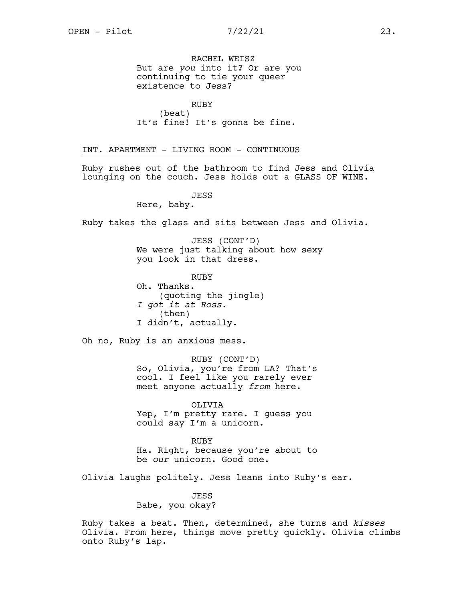RACHEL WEISZ But are *you* into it? Or are you continuing to tie your queer existence to Jess?

RUBY (beat) It's fine! It's gonna be fine.

INT. APARTMENT - LIVING ROOM - CONTINUOUS

Ruby rushes out of the bathroom to find Jess and Olivia lounging on the couch. Jess holds out a GLASS OF WINE.

JESS

Here, baby.

Ruby takes the glass and sits between Jess and Olivia.

JESS (CONT'D) We were just talking about how sexy you look in that dress.

RUBY Oh. Thanks. (quoting the jingle) *I got it at Ross*. (then) I didn't, actually.

Oh no, Ruby is an anxious mess.

RUBY (CONT'D) So, Olivia, you're from LA? That's cool. I feel like you rarely ever meet anyone actually *from* here.

OLIVIA Yep, I'm pretty rare. I guess you could say I'm a unicorn.

RUBY Ha. Right, because you're about to be *our* unicorn. Good one.

Olivia laughs politely. Jess leans into Ruby's ear.

JESS Babe, you okay?

Ruby takes a beat. Then, determined, she turns and *kisses* Olivia. From here, things move pretty quickly. Olivia climbs onto Ruby's lap.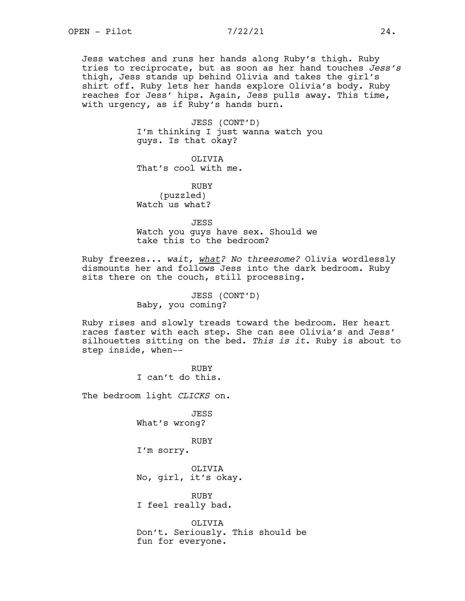Jess watches and runs her hands along Ruby's thigh. Ruby tries to reciprocate, but as soon as her hand touches *Jess's* thigh, Jess stands up behind Olivia and takes the girl's shirt off. Ruby lets her hands explore Olivia's body. Ruby reaches for Jess' hips. Again, Jess pulls away. This time, with urgency, as if Ruby's hands burn.

> JESS (CONT'D) I'm thinking I just wanna watch you guys. Is that okay?

OLIVIA That's cool with me.

RUBY (puzzled) Watch us what?

JESS Watch you guys have sex. Should we take this to the bedroom?

Ruby freezes... *wait, what? No threesome?* Olivia wordlessly dismounts her and follows Jess into the dark bedroom. Ruby sits there on the couch, still processing.

> JESS (CONT'D) Baby, you coming?

Ruby rises and slowly treads toward the bedroom. Her heart races faster with each step. She can see Olivia's and Jess' silhouettes sitting on the bed. *This is it*. Ruby is about to step inside, when--

> RUBY I can't do this.

The bedroom light *CLICKS* on.

JESS What's wrong?

RUBY

I'm sorry.

OLIVIA No, girl, it's okay.

RUBY I feel really bad.

OLIVIA Don't. Seriously. This should be fun for everyone.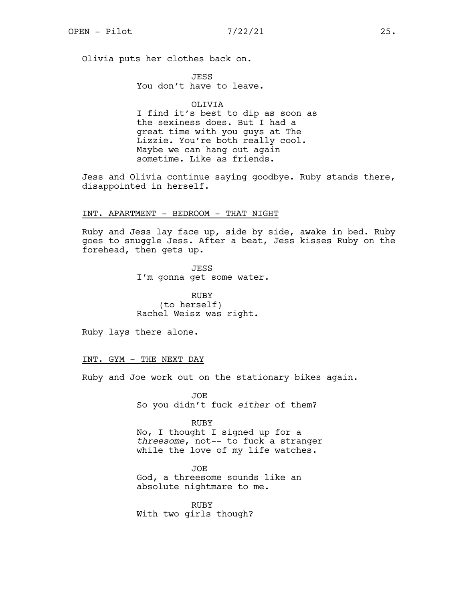Olivia puts her clothes back on.

JESS You don't have to leave.

## OLIVIA

I find it's best to dip as soon as the sexiness does. But I had a great time with you guys at The Lizzie. You're both really cool. Maybe we can hang out again sometime. Like as friends.

Jess and Olivia continue saying goodbye. Ruby stands there, disappointed in herself.

# INT. APARTMENT - BEDROOM - THAT NIGHT

Ruby and Jess lay face up, side by side, awake in bed. Ruby goes to snuggle Jess. After a beat, Jess kisses Ruby on the forehead, then gets up.

> JESS I'm gonna get some water.

RUBY (to herself) Rachel Weisz was right.

Ruby lays there alone.

# INT. GYM - THE NEXT DAY

Ruby and Joe work out on the stationary bikes again.

JOE So you didn't fuck *either* of them?

RUBY

No, I thought I signed up for a *threesome*, not-- to fuck a stranger while the love of my life watches.

JOE God, a threesome sounds like an absolute nightmare to me.

RUBY With two girls though?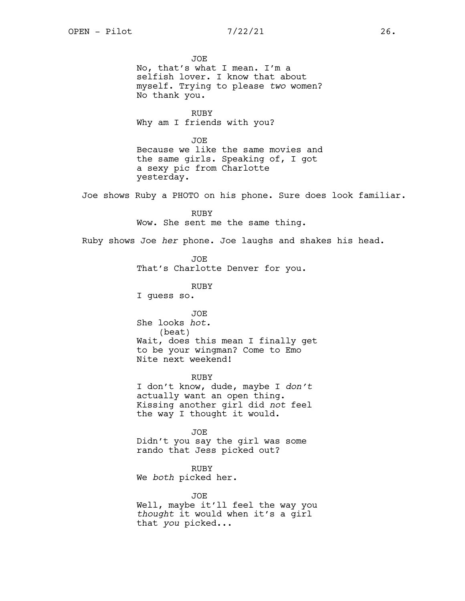JOE No, that's what I mean. I'm a selfish lover. I know that about myself. Trying to please *two* women? No thank you. RUBY Why am I friends with you? JOE Because we like the same movies and the same girls. Speaking of, I got a sexy pic from Charlotte yesterday. Joe shows Ruby a PHOTO on his phone. Sure does look familiar. RUBY Wow. She sent me the same thing. Ruby shows Joe *her* phone. Joe laughs and shakes his head. JOE That's Charlotte Denver for you. RUBY I guess so. JOE She looks *hot.* (beat) Wait, does this mean I finally get to be your wingman? Come to Emo Nite next weekend! RUBY I don't know, dude, maybe I *don't* actually want an open thing. Kissing another girl did *not* feel the way I thought it would. JOE Didn't you say the girl was some rando that Jess picked out? RUBY We *both* picked her. JOE Well, maybe it'll feel the way you *thought* it would when it's a girl that *you* picked...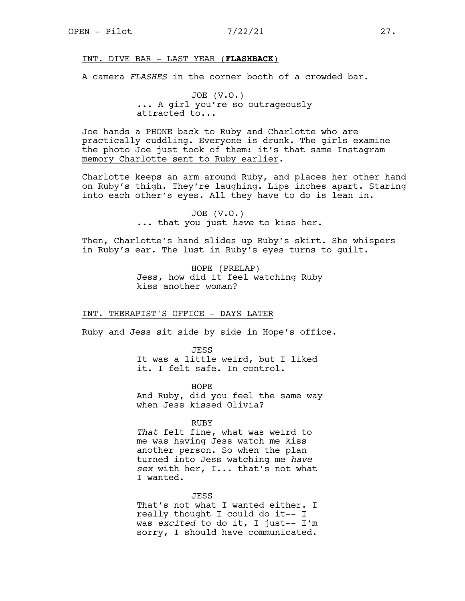# INT. DIVE BAR - LAST YEAR (**FLASHBACK**)

A camera *FLASHES* in the corner booth of a crowded bar.

JOE (V.O.) ... A girl you're so outrageously attracted to...

Joe hands a PHONE back to Ruby and Charlotte who are practically cuddling. Everyone is drunk. The girls examine the photo Joe just took of them: it's that same Instagram memory Charlotte sent to Ruby earlier.

Charlotte keeps an arm around Ruby, and places her other hand on Ruby's thigh. They're laughing. Lips inches apart. Staring into each other's eyes. All they have to do is lean in.

> JOE (V.O.) ... that you just *have* to kiss her.

Then, Charlotte's hand slides up Ruby's skirt. She whispers in Ruby's ear. The lust in Ruby's eyes turns to guilt.

> HOPE (PRELAP) Jess, how did it feel watching Ruby kiss another woman?

# INT. THERAPIST'S OFFICE - DAYS LATER

Ruby and Jess sit side by side in Hope's office.

JESS It was a little weird, but I liked it. I felt safe. In control.

HOPE And Ruby, did you feel the same way when Jess kissed Olivia?

## RUBY

*That* felt fine, what was weird to me was having Jess watch me kiss another person. So when the plan turned into Jess watching me *have sex* with her, I... that's not what I wanted.

**JESS** That's not what I wanted either. I really thought I could do it-- I was *excited* to do it, I just-- I'm sorry, I should have communicated.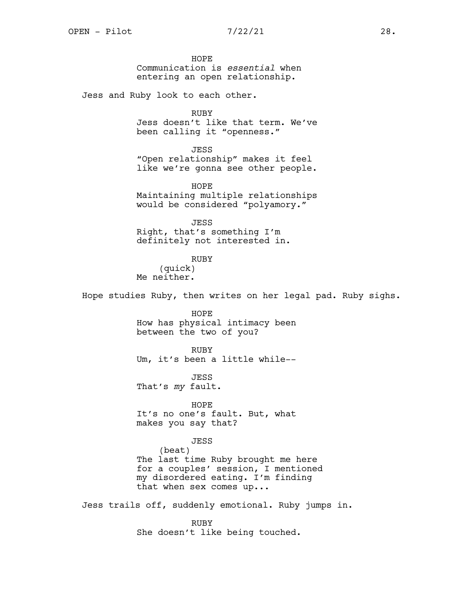HOPE Communication is *essential* when entering an open relationship.

Jess and Ruby look to each other.

RUBY Jess doesn't like that term. We've been calling it "openness."

JESS "Open relationship" makes it feel like we're gonna see other people.

HOPE Maintaining multiple relationships would be considered "polyamory."

JESS Right, that's something I'm definitely not interested in.

RUBY (quick) Me neither.

Hope studies Ruby, then writes on her legal pad. Ruby sighs.

HOPE How has physical intimacy been between the two of you?

RUBY Um, it's been a little while--

JESS That's *my* fault.

HOPE It's no one's fault. But, what makes you say that?

JESS

(beat) The last time Ruby brought me here for a couples' session, I mentioned my disordered eating. I'm finding that when sex comes up...

Jess trails off, suddenly emotional. Ruby jumps in.

RUBY She doesn't like being touched.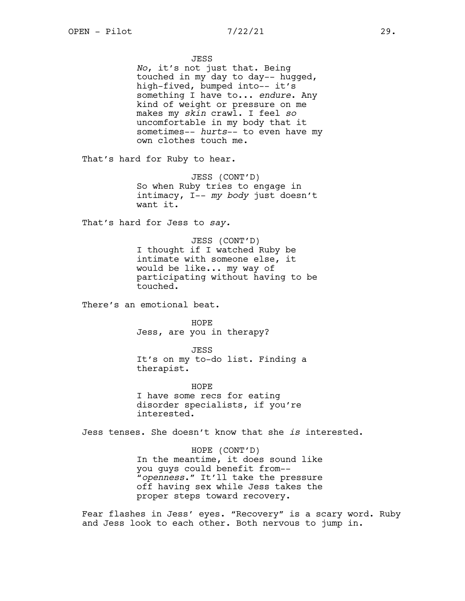JESS

*No*, it's not just that. Being touched in my day to day-- hugged, high-fived, bumped into-- it's something I have to... *endure*. Any kind of weight or pressure on me makes my *skin* crawl. I feel *so* uncomfortable in my body that it sometimes-- *hurts*-- to even have my own clothes touch me.

That's hard for Ruby to hear.

JESS (CONT'D) So when Ruby tries to engage in intimacy, I-- *my body* just doesn't want it.

That's hard for Jess to *say.*

JESS (CONT'D) I thought if I watched Ruby be intimate with someone else, it would be like... my way of participating without having to be touched.

There's an emotional beat.

HOPE Jess, are you in therapy?

JESS It's on my to-do list. Finding a therapist.

HOPE I have some recs for eating disorder specialists, if you're interested.

Jess tenses. She doesn't know that she *is* interested.

HOPE (CONT'D) In the meantime, it does sound like you guys could benefit from-- "*openness*." It'll take the pressure off having sex while Jess takes the proper steps toward recovery.

Fear flashes in Jess' eyes. "Recovery" is a scary word. Ruby and Jess look to each other. Both nervous to jump in.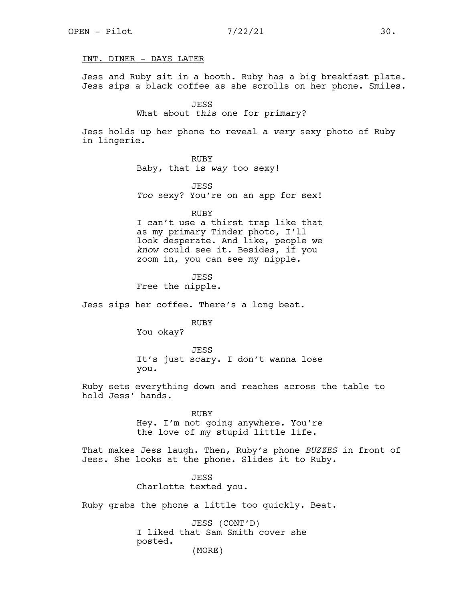# INT. DINER - DAYS LATER

Jess and Ruby sit in a booth. Ruby has a big breakfast plate. Jess sips a black coffee as she scrolls on her phone. Smiles.

JESS

What about *this* one for primary?

Jess holds up her phone to reveal a *very* sexy photo of Ruby in lingerie.

> RUBY Baby, that is *way* too sexy!

JESS *Too* sexy? You're on an app for sex!

RUBY

I can't use a thirst trap like that as my primary Tinder photo, I'll look desperate. And like, people we *know* could see it. Besides, if you zoom in, you can see my nipple.

**JESS** Free the nipple.

Jess sips her coffee. There's a long beat.

RUBY

You okay?

JESS It's just scary. I don't wanna lose you.

Ruby sets everything down and reaches across the table to hold Jess' hands.

> RUBY Hey. I'm not going anywhere. You're the love of my stupid little life.

That makes Jess laugh. Then, Ruby's phone *BUZZES* in front of Jess. She looks at the phone. Slides it to Ruby.

> JESS Charlotte texted you.

Ruby grabs the phone a little too quickly. Beat.

JESS (CONT'D) I liked that Sam Smith cover she posted.

(MORE)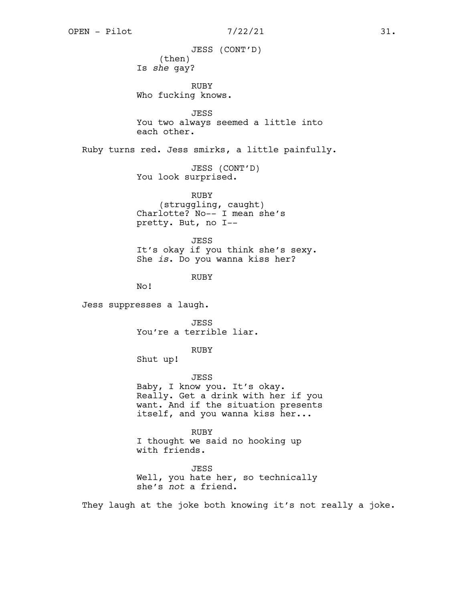(then) Is *she* gay? RUBY Who fucking knows. JESS You two always seemed a little into each other. Ruby turns red. Jess smirks, a little painfully. JESS (CONT'D) You look surprised. JESS (CONT'D)

> RUBY (struggling, caught) Charlotte? No-- I mean she's pretty. But, no I--

JESS It's okay if you think she's sexy. She *is*. Do you wanna kiss her?

RUBY

No!

Jess suppresses a laugh.

JESS You're a terrible liar.

RUBY

Shut up!

JESS

Baby, I know you. It's okay. Really. Get a drink with her if you want. And if the situation presents itself, and you wanna kiss her...

RUBY I thought we said no hooking up with friends.

JESS Well, you hate her, so technically she's *not* a friend.

They laugh at the joke both knowing it's not really a joke.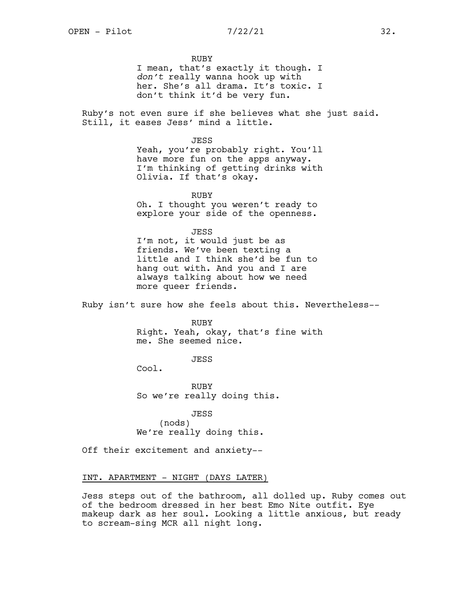RUBY I mean, that's exactly it though. I *don't* really wanna hook up with her. She's all drama. It's toxic. I don't think it'd be very fun.

Ruby's not even sure if she believes what she just said. Still, it eases Jess' mind a little.

> JESS Yeah, you're probably right. You'll have more fun on the apps anyway. I'm thinking of getting drinks with Olivia. If that's okay.

RUBY Oh. I thought you weren't ready to explore your side of the openness.

JESS I'm not, it would just be as friends. We've been texting a little and I think she'd be fun to hang out with. And you and I are always talking about how we need more queer friends.

Ruby isn't sure how she feels about this. Nevertheless--

RUBY

Right. Yeah, okay, that's fine with me. She seemed nice.

**JESS** 

Cool.

RUBY So we're really doing this.

JESS (nods) We're really doing this.

Off their excitement and anxiety--

# INT. APARTMENT - NIGHT (DAYS LATER)

Jess steps out of the bathroom, all dolled up. Ruby comes out of the bedroom dressed in her best Emo Nite outfit. Eye makeup dark as her soul. Looking a little anxious, but ready to scream-sing MCR all night long.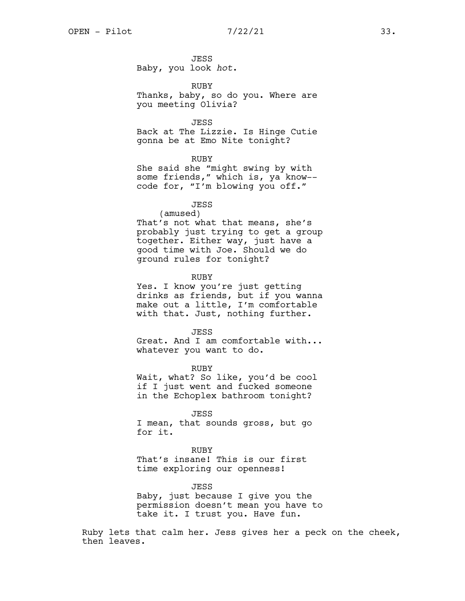JESS Baby, you look *hot*.

RUBY Thanks, baby, so do you. Where are you meeting Olivia?

JESS

Back at The Lizzie. Is Hinge Cutie gonna be at Emo Nite tonight?

RUBY

She said she "might swing by with some friends," which is, ya know- code for, "I'm blowing you off."

JESS

(amused)

That's not what that means, she's probably just trying to get a group together. Either way, just have a good time with Joe. Should we do ground rules for tonight?

RUBY

Yes. I know you're just getting drinks as friends, but if you wanna make out a little, I'm comfortable with that. Just, nothing further.

**JESS** 

Great. And I am comfortable with... whatever you want to do.

RUBY Wait, what? So like, you'd be cool if I just went and fucked someone in the Echoplex bathroom tonight?

JESS

I mean, that sounds gross, but go for it.

## RUBY

That's insane! This is our first time exploring our openness!

JESS

Baby, just because I give you the permission doesn't mean you have to take it. I trust you. Have fun.

Ruby lets that calm her. Jess gives her a peck on the cheek, then leaves.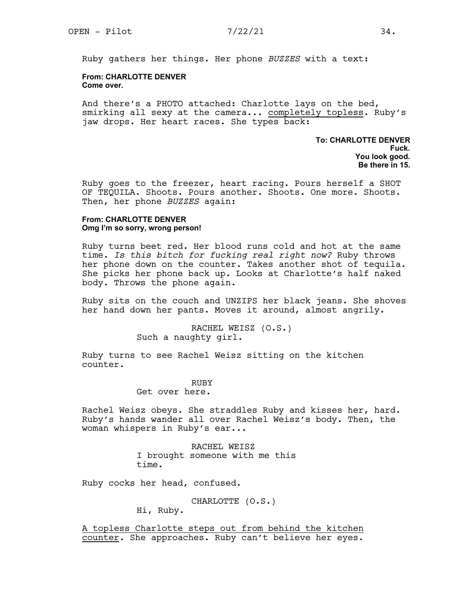Ruby gathers her things. Her phone *BUZZES* with a text:

## **From: CHARLOTTE DENVER Come over.**

And there's a PHOTO attached: Charlotte lays on the bed,<br>smirking all sexy at the camera... completely topless. Ruby's jaw drops. Her heart races. She types back:

> **To: CHARLOTTE DENVER Fuck. You look good. Be there in 15.**

Ruby goes to the freezer, heart racing. Pours herself a SHOT OF TEQUILA. Shoots. Pours another. Shoots. One more. Shoots. Then, her phone *BUZZES* again:

# **From: CHARLOTTE DENVER Omg I'm so sorry, wrong person!**

Ruby turns beet red. Her blood runs cold and hot at the same time. *Is this bitch for fucking real right now?* Ruby throws her phone down on the counter. Takes another shot of tequila. She picks her phone back up. Looks at Charlotte's half naked body. Throws the phone again.

Ruby sits on the couch and UNZIPS her black jeans. She shoves her hand down her pants. Moves it around, almost angrily.

> RACHEL WEISZ (O.S.) Such a naughty girl.

Ruby turns to see Rachel Weisz sitting on the kitchen counter.

## RUBY

## Get over here.

Rachel Weisz obeys. She straddles Ruby and kisses her, hard.<br>Ruby's hands wander all over Rachel Weisz's body. Then, the woman whispers in Ruby's ear...

> RACHEL WEISZ I brought someone with me this time.

Ruby cocks her head, confused.

CHARLOTTE (O.S.)

Hi, Ruby.

A topless Charlotte steps out from behind the kitchen counter. She approaches. Ruby can't believe her eyes.